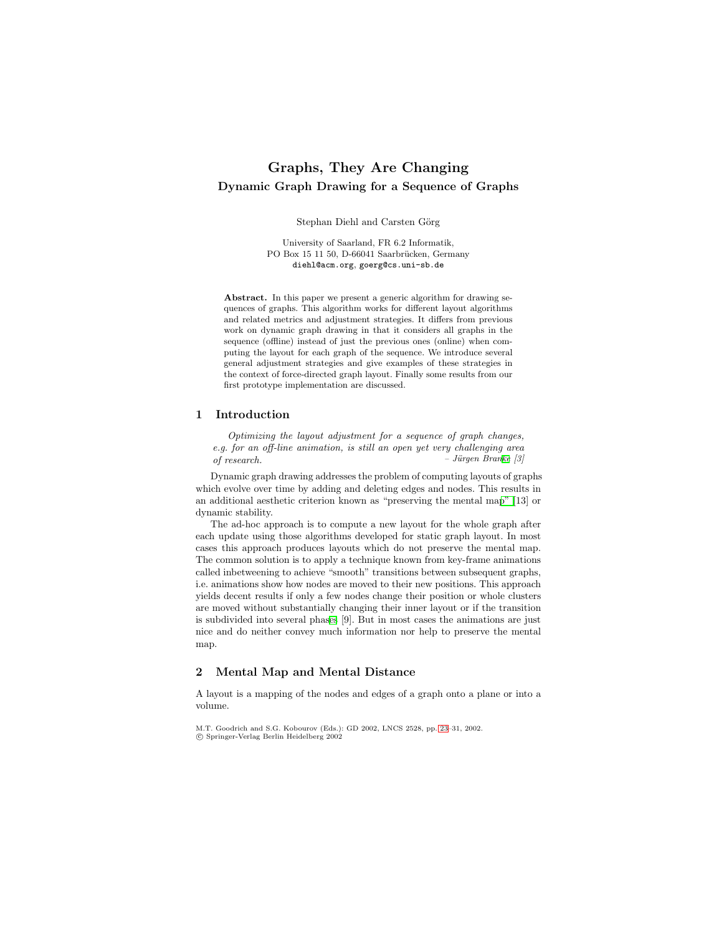# **Graphs, They Are Changing Dynamic Graph Drawing for a Sequence of Graphs**

Stephan Diehl and Carsten Görg

University of Saarland, FR 6.2 Informatik, PO Box 15 11 50, D-66041 Saarbrücken, Germany diehl@acm.org, goerg@cs.uni-sb.de

**Abstract.** In this paper we present a generic algorithm for drawing sequences of graphs. This algorithm works for different layout algorithms and related metrics and adjustment strategies. It differs from previous work on dynamic graph drawing in that it considers all graphs in the sequence (offline) instead of just the previous ones (online) when computing the layout for each graph of the sequence. We introduce several general adjustment strategies and give examples of these strategies in the context of force-directed graph layout. Finally some results from our first prototype implementation are discussed.

## **1 Introduction**

Optimizing the layout adjustment for a sequence of graph changes, e.g. for an off-line animation, is still an open yet very challenging area  $\sigma$ f research. – Jürgen Bran[ke](#page-7-0) [3]

Dynamic graph drawing addresses the problem of computing layouts of graphs which evolve over time by adding and deleting edges and nodes. This results in an additional aesthetic criterion known as "preserving the mental ma[p" \[](#page-8-0)13] or dynamic stability.

The ad-hoc approach is to compute a new layout for the whole graph after each update using those algorithms developed for static graph layout. In most cases this approach produces layouts which do not preserve the mental map. The common solution is to apply a technique known from key-frame animations called inbetweening to achieve "smooth" transitions between subsequent graphs, i.e. animations show how nodes are moved to their new positions. This approach yields decent results if only a few nodes change their position or whole clusters are moved without substantially changing their inner layout or if the transition is subdivided into several phas[es](#page-7-0) [9]. But in most cases the animations are just nice and do neither convey much information nor help to preserve the mental map.

# **2 Mental Map and Mental Distance**

A layout is a mapping of the nodes and edges of a graph onto a plane or into a volume.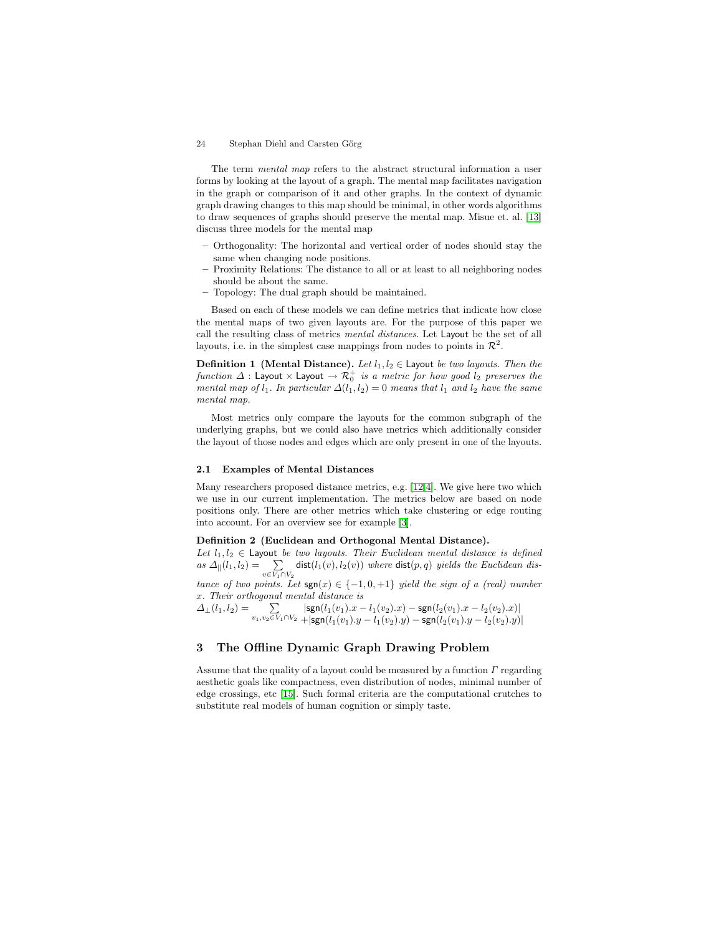#### 24 Stephan Diehl and Carsten Görg

The term mental map refers to the abstract structural information a user forms by looking at the layout of a graph. The mental map facilitates navigation in the graph or comparison of it and other graphs. In the context of dynamic graph drawing changes to this map should be minimal, in other words algorithms to draw sequences of graphs should preserve the mental map. Misue et. al. [\[13\]](#page-8-0) discuss three models for the mental map

- **–** Orthogonality: The horizontal and vertical order of nodes should stay the same when changing node positions.
- **–** Proximity Relations: The distance to all or at least to all neighboring nodes should be about the same.
- **–** Topology: The dual graph should be maintained.

Based on each of these models we can define metrics that indicate how close the mental maps of two given layouts are. For the purpose of this paper we call the resulting class of metrics mental distances. Let Layout be the set of all layouts, i.e. in the simplest case mappings from nodes to points in  $\mathcal{R}^2$ .

**Definition 1 (Mental Distance).** Let  $l_1, l_2 \in$  Layout be two layouts. Then the function  $\varDelta$  : Layout  $\times$  Layout  $\to \mathcal{R}^+_0$  is a metric for how good  $l_2$  preserves the mental map of  $l_1$ . In particular  $\Delta(l_1, l_2)=0$  means that  $l_1$  and  $l_2$  have the same mental map.

Most metrics only compare the layouts for the common subgraph of the underlying graphs, but we could also have metrics which additionally consider the layout of those nodes and edges which are only present in one of the layouts.

### **2.1 Examples of Mental Distances**

Many researchers proposed distance metrics, e.g. [\[12](#page-8-0)[,4\]](#page-7-0). We give here two which we use in our current implementation. The metrics below are based on node positions only. There are other metrics which take clustering or edge routing into account. For an overview see for example [\[3](#page-7-0)].

### **Definition 2 (Euclidean and Orthogonal Mental Distance).**

Let  $l_1, l_2 \in$  Layout be two layouts. Their Euclidean mental distance is defined as  $\Delta_{\parallel}(l_1, l_2) = \sum_{v \in V_1 \cap V_2} \text{dist}(l_1(v), l_2(v))$  where  $\text{dist}(p, q)$  yields the Euclidean dis-

tance of two points. Let  $sgn(x) \in \{-1,0,+1\}$  yield the sign of a (real) number x. Their orthogonal mental distance is

$$
\varDelta_{\perp}(l_1,l_2) = \sum_{v_1,v_2 \in V_1 \cap V_2} \frac{|\text{sgn}(l_1(v_1).x - l_1(v_2).x) - \text{sgn}(l_2(v_1).x - l_2(v_2).x)|}{|\text{sgn}(l_1(v_1).y - l_1(v_2).y) - \text{sgn}(l_2(v_1).y - l_2(v_2).y)|}
$$

# **3The Offline Dynamic Graph Drawing Problem**

Assume that the quality of a layout could be measured by a function  $\Gamma$  regarding aesthetic goals like compactness, even distribution of nodes, minimal number of edge crossings, etc [\[15\]](#page-8-0). Such formal criteria are the computational crutches to substitute real models of human cognition or simply taste.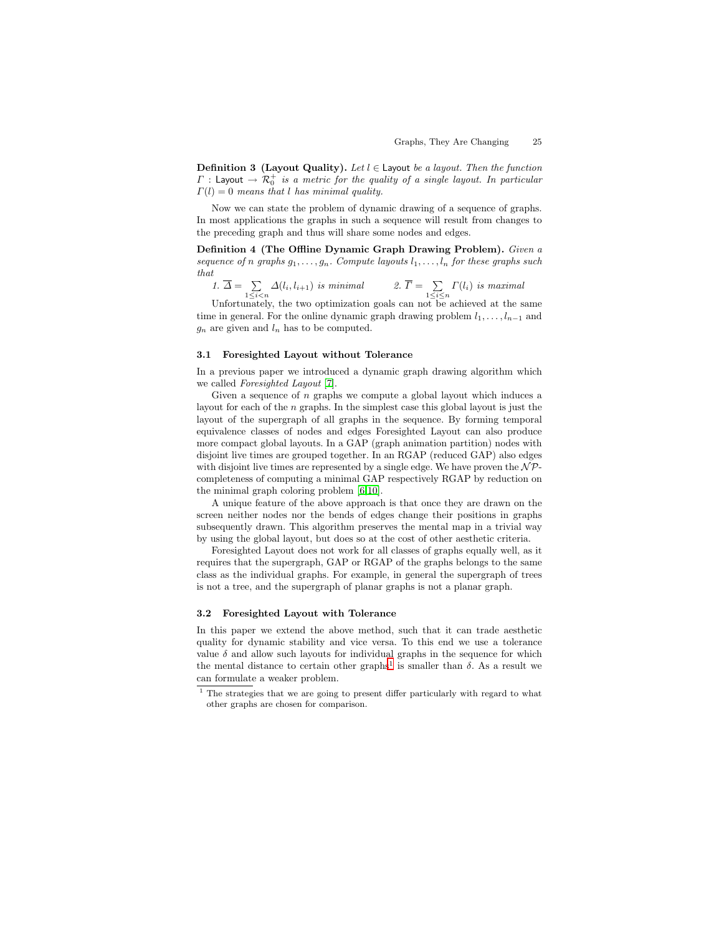**Definition 3 (Layout Quality).** Let  $l \in$  Layout be a layout. Then the function  $\Gamma$  : Layout  $\rightarrow \mathcal{R}_0^+$  is a metric for the quality of a single layout. In particular  $\Gamma(l)=0$  means that l has minimal quality.

Now we can state the problem of dynamic drawing of a sequence of graphs. In most applications the graphs in such a sequence will result from changes to the preceding graph and thus will share some nodes and edges.

**Definition 4 (The Offline Dynamic Graph Drawing Problem).** Given a sequence of n graphs  $g_1, \ldots, g_n$ . Compute layouts  $l_1, \ldots, l_n$  for these graphs such that

1.  $\overline{\Delta} = \sum_{1 \leq i < n} \Delta(l_i, l_{i+1})$  is minimal  $\qquad \quad \mathcal{Z}.\ \overline{\Gamma} = \sum_{1 \leq i \leq n} \Gamma(l_i)$  is maximal

Unfortunately, the two optimization goals can not be achieved at the same time in general. For the online dynamic graph drawing problem  $l_1,\ldots,l_{n-1}$  and  $g_n$  are given and  $l_n$  has to be computed.

#### **3.1 Foresighted Layout without Tolerance**

In a previous paper we introduced a dynamic graph drawing algorithm which we called Foresighted Layout [\[7\]](#page-7-0).

Given a sequence of  $n$  graphs we compute a global layout which induces a layout for each of the n graphs. In the simplest case this global layout is just the layout of the supergraph of all graphs in the sequence. By forming temporal equivalence classes of nodes and edges Foresighted Layout can also produce more compact global layouts. In a GAP (graph animation partition) nodes with disjoint live times are grouped together. In an RGAP (reduced GAP) also edges with disjoint live times are represented by a single edge. We have proven the  $N\mathcal{P}$ completeness of computing a minimal GAP respectively RGAP by reduction on the minimal graph coloring problem [\[6,10\]](#page-7-0).

A unique feature of the above approach is that once they are drawn on the screen neither nodes nor the bends of edges change their positions in graphs subsequently drawn. This algorithm preserves the mental map in a trivial way by using the global layout, but does so at the cost of other aesthetic criteria.

Foresighted Layout does not work for all classes of graphs equally well, as it requires that the supergraph, GAP or RGAP of the graphs belongs to the same class as the individual graphs. For example, in general the supergraph of trees is not a tree, and the supergraph of planar graphs is not a planar graph.

#### **3.2 Foresighted Layout with Tolerance**

In this paper we extend the above method, such that it can trade aesthetic quality for dynamic stability and vice versa. To this end we use a tolerance value  $\delta$  and allow such layouts for individual graphs in the sequence for which the mental distance to certain other graphs<sup>1</sup> is smaller than  $\delta$ . As a result we can formulate a weaker problem.

 $1$  The strategies that we are going to present differ particularly with regard to what other graphs are chosen for comparison.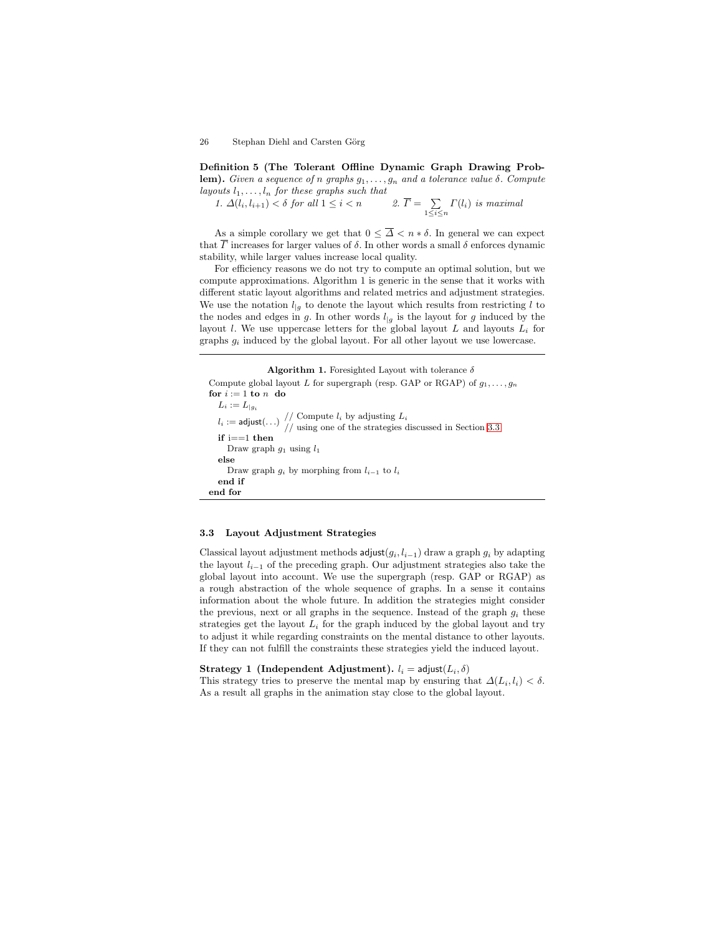**Definition 5 (The Tolerant Offline Dynamic Graph Drawing Problem).** Given a sequence of n graphs  $g_1, \ldots, g_n$  and a tolerance value  $\delta$ . Compute layouts  $l_1, \ldots, l_n$  for these graphs such that

1. 
$$
\Delta(l_i, l_{i+1}) < \delta
$$
 for all  $1 \leq i < n$  2.  $\overline{\Gamma} = \sum_{1 \leq i \leq n} \Gamma(l_i)$  is maximal

As a simple corollary we get that  $0 \leq \overline{\Delta} \leq n * \delta$ . In general we can expect that  $\overline{\Gamma}$  increases for larger values of  $\delta$ . In other words a small  $\delta$  enforces dynamic stability, while larger values increase local quality.

For efficiency reasons we do not try to compute an optimal solution, but we compute approximations. Algorithm 1 is generic in the sense that it works with different static layout algorithms and related metrics and adjustment strategies. We use the notation  $l_{q}$  to denote the layout which results from restricting l to the nodes and edges in g. In other words  $l_{q}$  is the layout for g induced by the layout *l*. We use uppercase letters for the global layout L and layouts  $L_i$  for graphs  $g_i$  induced by the global layout. For all other layout we use lowercase.

**Algorithm 1.** Foresighted Layout with tolerance  $\delta$ Compute global layout L for supergraph (resp. GAP or RGAP) of  $g_1, \ldots, g_n$ **for**  $i := 1$  **to**  $n$  **do**  $L_i := L_{|g_i}$  $l_i :=$  adjust(...) // Compute  $l_i$  by adjusting  $L_i$ <br>
// using one of the strategies discussed in Section 3.3 **if** i==1 **then** Draw graph  $g_1$  using  $l_1$ **else** Draw graph  $g_i$  by morphing from  $l_{i-1}$  to  $l_i$ **end if end for**

#### **3.3 Layout Adjustment Strategies**

Classical layout adjustment methods adjust $(g_i, l_{i-1})$  draw a graph  $g_i$  by adapting the layout  $l_{i-1}$  of the preceding graph. Our adjustment strategies also take the global layout into account. We use the supergraph (resp. GAP or RGAP) as a rough abstraction of the whole sequence of graphs. In a sense it contains information about the whole future. In addition the strategies might consider the previous, next or all graphs in the sequence. Instead of the graph  $q_i$  these strategies get the layout  $L_i$  for the graph induced by the global layout and try to adjust it while regarding constraints on the mental distance to other layouts. If they can not fulfill the constraints these strategies yield the induced layout.

#### **Strategy 1 (Independent Adjustment).**  $l_i = \text{adjust}(L_i, \delta)$

This strategy tries to preserve the mental map by ensuring that  $\Delta(L_i, l_i) < \delta$ . As a result all graphs in the animation stay close to the global layout.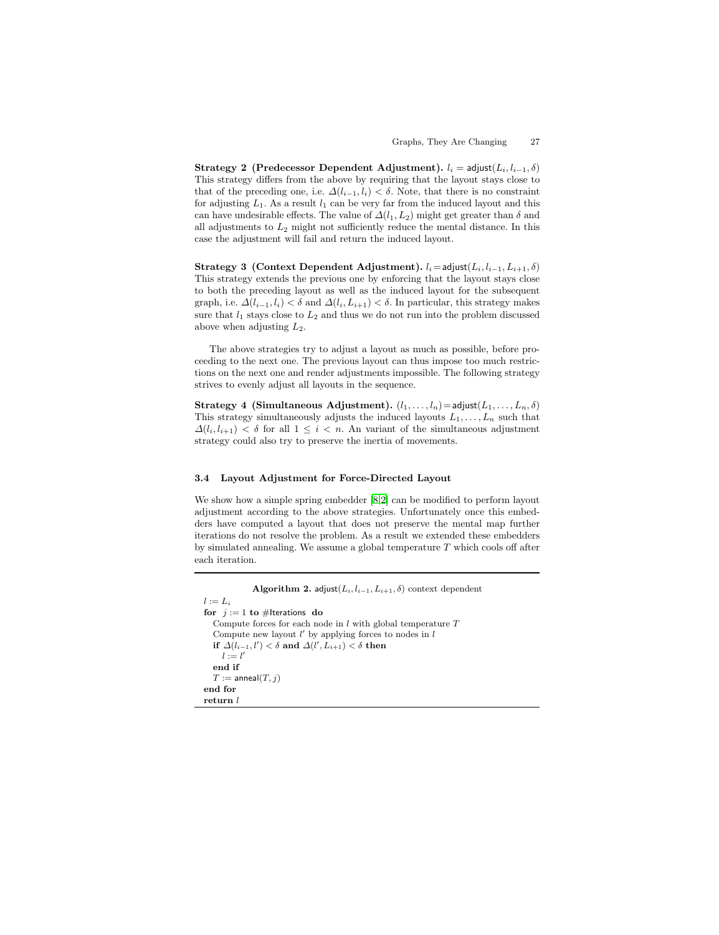**Strategy 2 (Predecessor Dependent Adjustment).**  $l_i = \text{adjust}(L_i, l_{i-1}, \delta)$ This strategy differs from the above by requiring that the layout stays close to that of the preceding one, i.e.  $\Delta(l_{i-1}, l_i) < \delta$ . Note, that there is no constraint for adjusting  $L_1$ . As a result  $l_1$  can be very far from the induced layout and this can have undesirable effects. The value of  $\Delta(l_1, L_2)$  might get greater than  $\delta$  and all adjustments to  $L_2$  might not sufficiently reduce the mental distance. In this case the adjustment will fail and return the induced layout.

**Strategy 3 (Context Dependent Adjustment).**  $l_i =$ adjust $(L_i, l_{i-1}, L_{i+1}, \delta)$ This strategy extends the previous one by enforcing that the layout stays close to both the preceding layout as well as the induced layout for the subsequent graph, i.e.  $\Delta(l_{i-1}, l_i) < \delta$  and  $\Delta(l_i, L_{i+1}) < \delta$ . In particular, this strategy makes sure that  $l_1$  stays close to  $L_2$  and thus we do not run into the problem discussed above when adjusting  $L_2$ .

The above strategies try to adjust a layout as much as possible, before proceeding to the next one. The previous layout can thus impose too much restrictions on the next one and render adjustments impossible. The following strategy strives to evenly adjust all layouts in the sequence.

**Strategy 4 (Simultaneous Adjustment).**  $(l_1,\ldots,l_n)$ =adjust $(L_1,\ldots,L_n,\delta)$ This strategy simultaneously adjusts the induced layouts  $L_1, \ldots, L_n$  such that  $\Delta(l_i, l_{i+1}) < \delta$  for all  $1 \leq i < n$ . An variant of the simultaneous adjustment strategy could also try to preserve the inertia of movements.

### **3.4 Layout Adjustment for Force-Directed Layout**

We show how a simple spring embedder [\[8,2\]](#page-7-0) can be modified to perform layout adjustment according to the above strategies. Unfortunately once this embedders have computed a layout that does not preserve the mental map further iterations do not resolve the problem. As a result we extended these embedders by simulated annealing. We assume a global temperature  $T$  which cools off after each iteration.

**Algorithm 2.** adjust( $L_i, l_{i-1}, L_{i+1}, \delta$ ) context dependent  $l := L_i$ **for**  $j := 1$  **to** #Iterations **do** Compute forces for each node in  $l$  with global temperature  $T$ Compute new layout  $l'$  by applying forces to nodes in  $l$ **if**  $\Delta(l_{i-1}, l') < \delta$  and  $\Delta(l', L_{i+1}) < \delta$  then  $l := l'$ **end if**  $T :=$  anneal $(T, j)$ **end for return** l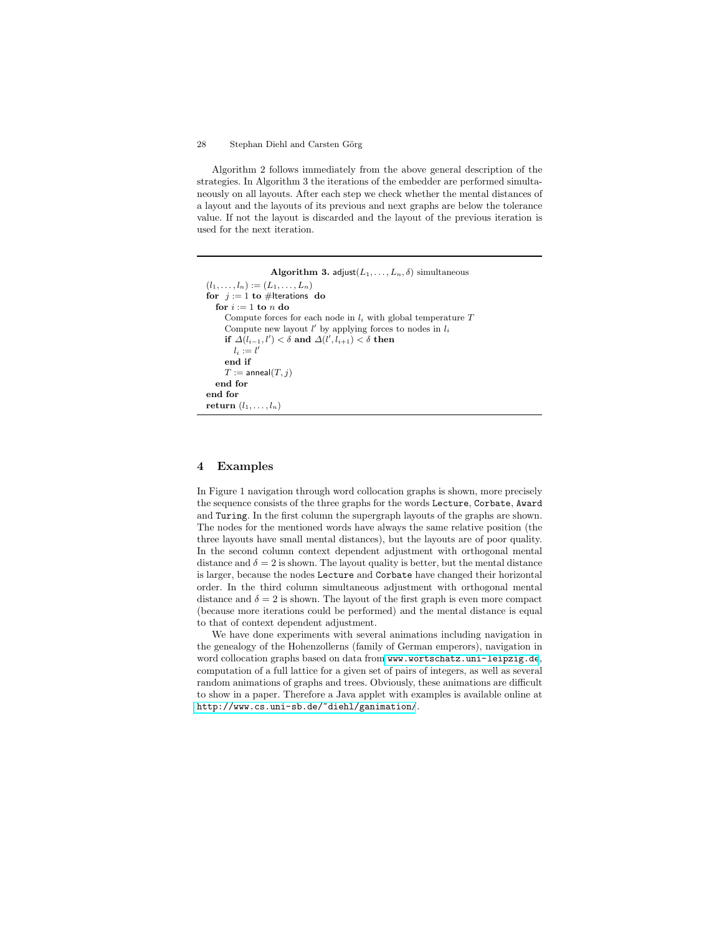#### 28 Stephan Diehl and Carsten Görg

Algorithm 2 follows immediately from the above general description of the strategies. In Algorithm 3 the iterations of the embedder are performed simultaneously on all layouts. After each step we check whether the mental distances of a layout and the layouts of its previous and next graphs are below the tolerance value. If not the layout is discarded and the layout of the previous iteration is used for the next iteration.

```
Algorithm 3. adjust(L_1, \ldots, L_n, \delta) simultaneous
(l_1,\ldots,l_n) := (L_1,\ldots,L_n)for j := 1 to #Iterations do
  for i := 1 to n do
     Compute forces for each node in l_i with global temperature TCompute new layout l' by applying forces to nodes in l_iif \Delta(l_{i-1}, l') < \delta and \Delta(l', l_{i+1}) < \delta then
        l_i := l'end if
     T := anneal(T, j)end for
end for
return (l_1, \ldots, l_n)
```
## **4 Examples**

In Figure 1 navigation through word collocation graphs is shown, more precisely the sequence consists of the three graphs for the words Lecture, Corbate, Award and Turing. In the first column the supergraph layouts of the graphs are shown. The nodes for the mentioned words have always the same relative position (the three layouts have small mental distances), but the layouts are of poor quality. In the second column context dependent adjustment with orthogonal mental distance and  $\delta = 2$  is shown. The layout quality is better, but the mental distance is larger, because the nodes Lecture and Corbate have changed their horizontal order. In the third column simultaneous adjustment with orthogonal mental distance and  $\delta = 2$  is shown. The layout of the first graph is even more compact (because more iterations could be performed) and the mental distance is equal to that of context dependent adjustment.

We have done experiments with several animations including navigation in the genealogy of the Hohenzollerns (family of German emperors), navigation in word collocation graphs based on data from <www.wortschatz.uni-leipzig.de>, computation of a full lattice for a given set of pairs of integers, as well as several random animations of graphs and trees. Obviously, these animations are difficult to show in a paper. Therefore a Java applet with examples is available online at [http://www.cs.uni-sb.de/˜diehl/ganimation/](http://www.cs.uni-sb.de/~diehl/ganimation/).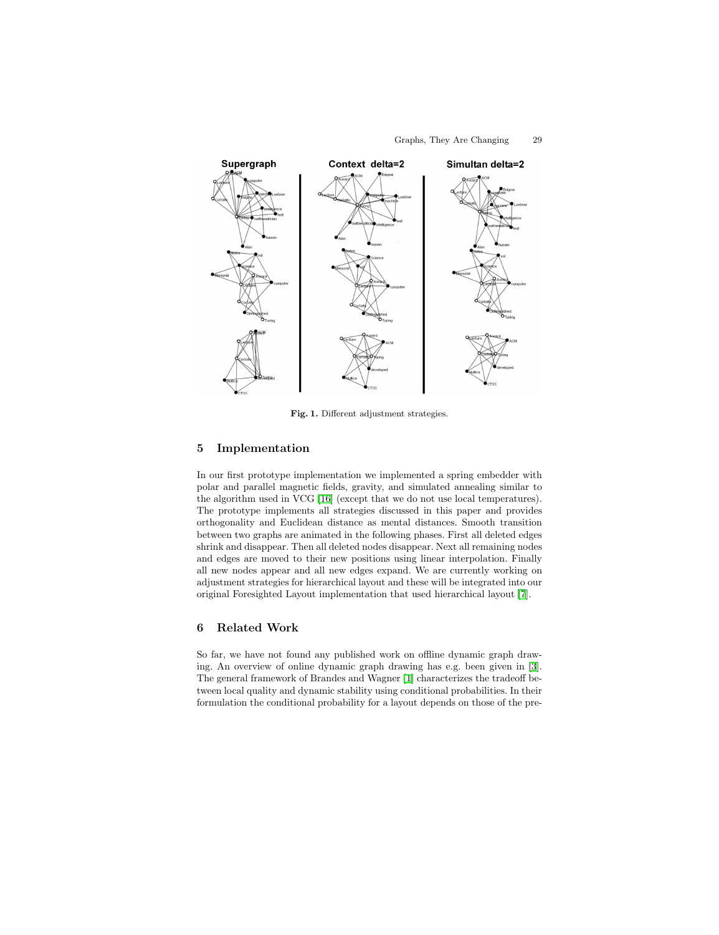

**Fig. 1.** Different adjustment strategies.

### **5 Implementation**

In our first prototype implementation we implemented a spring embedder with polar and parallel magnetic fields, gravity, and simulated annealing similar to the algorithm used in VCG [\[16](#page-8-0)] (except that we do not use local temperatures). The prototype implements all strategies discussed in this paper and provides orthogonality and Euclidean distance as mental distances. Smooth transition between two graphs are animated in the following phases. First all deleted edges shrink and disappear. Then all deleted nodes disappear. Next all remaining nodes and edges are moved to their new positions using linear interpolation. Finally all new nodes appear and all new edges expand. We are currently working on adjustment strategies for hierarchical layout and these will be integrated into our original Foresighted Layout implementation that used hierarchical layout [\[7](#page-7-0)].

### **6 Related Work**

So far, we have not found any published work on offline dynamic graph drawing. An overview of online dynamic graph drawing has e.g. been given in [\[3](#page-7-0)]. The general framework of Brandes and Wagner [\[1\]](#page-7-0) characterizes the tradeoff between local quality and dynamic stability using conditional probabilities. In their formulation the conditional probability for a layout depends on those of the pre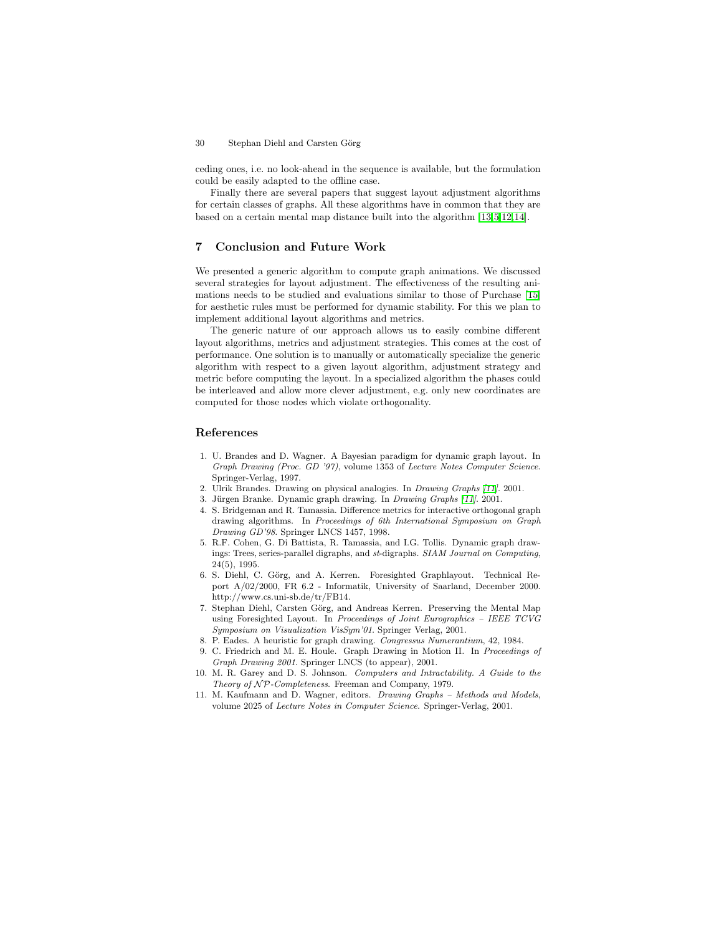<span id="page-7-0"></span>ceding ones, i.e. no look-ahead in the sequence is available, but the formulation could be easily adapted to the offline case.

Finally there are several papers that suggest layout adjustment algorithms for certain classes of graphs. All these algorithms have in common that they are based on a certain mental map distance built into the algorithm [\[13,](#page-8-0)5[,12,14](#page-8-0)].

# **7 Conclusion and Future Work**

We presented a generic algorithm to compute graph animations. We discussed several strategies for layout adjustment. The effectiveness of the resulting animations needs to be studied and evaluations similar to those of Purchase [\[15\]](#page-8-0) for aesthetic rules must be performed for dynamic stability. For this we plan to implement additional layout algorithms and metrics.

The generic nature of our approach allows us to easily combine different layout algorithms, metrics and adjustment strategies. This comes at the cost of performance. One solution is to manually or automatically specialize the generic algorithm with respect to a given layout algorithm, adjustment strategy and metric before computing the layout. In a specialized algorithm the phases could be interleaved and allow more clever adjustment, e.g. only new coordinates are computed for those nodes which violate orthogonality.

### **References**

- 1. U. Brandes and D. Wagner. A Bayesian paradigm for dynamic graph layout. In Graph Drawing (Proc. GD '97), volume 1353 of Lecture Notes Computer Science. Springer-Verlag, 1997.
- 2. Ulrik Brandes. Drawing on physical analogies. In Drawing Graphs [11]. 2001.
- 3. Jürgen Branke. Dynamic graph drawing. In *Drawing Graphs*  $[11]$ . 2001.
- 4. S. Bridgeman and R. Tamassia. Difference metrics for interactive orthogonal graph drawing algorithms. In Proceedings of 6th International Symposium on Graph Drawing GD'98. Springer LNCS 1457, 1998.
- 5. R.F. Cohen, G. Di Battista, R. Tamassia, and I.G. Tollis. Dynamic graph drawings: Trees, series-parallel digraphs, and st-digraphs. SIAM Journal on Computing, 24(5), 1995.
- 6. S. Diehl, C. Görg, and A. Kerren. Foresighted Graphlayout. Technical Report A/02/2000, FR 6.2 - Informatik, University of Saarland, December 2000. http://www.cs.uni-sb.de/tr/FB14.
- 7. Stephan Diehl, Carsten Görg, and Andreas Kerren. Preserving the Mental Map using Foresighted Layout. In Proceedings of Joint Eurographics – IEEE TCVG Symposium on Visualization VisSym'01. Springer Verlag, 2001.
- 8. P. Eades. A heuristic for graph drawing. Congressus Numerantium, 42, 1984.
- 9. C. Friedrich and M. E. Houle. Graph Drawing in Motion II. In Proceedings of Graph Drawing 2001. Springer LNCS (to appear), 2001.
- 10. M. R. Garey and D. S. Johnson. Computers and Intractability. A Guide to the *Theory of NP-Completeness.* Freeman and Company, 1979.
- 11. M. Kaufmann and D. Wagner, editors. Drawing Graphs Methods and Models, volume 2025 of Lecture Notes in Computer Science. Springer-Verlag, 2001.